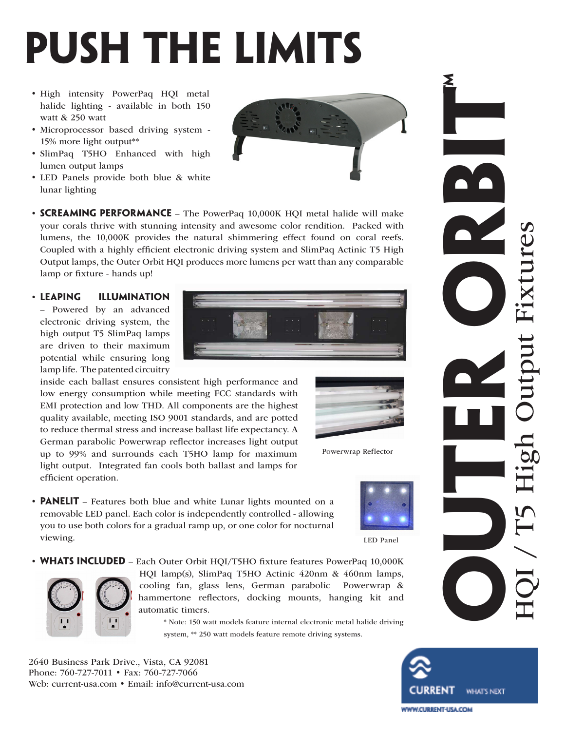## **push the limits**

- High intensity PowerPaq HQI metal halide lighting - available in both 150 watt & 250 watt
- • Microprocessor based driving system 15% more light output\*\*
- • SlimPaq T5HO Enhanced with high lumen output lamps
- • LED Panels provide both blue & white lunar lighting
- **SCREAMING PERFORMANCE** The PowerPaq 10,000K HQI metal halide will make your corals thrive with stunning intensity and awesome color rendition. Packed with lumens, the 10,000K provides the natural shimmering effect found on coral reefs. Coupled with a highly efficient electronic driving system and SlimPaq Actinic T5 High Output lamps, the Outer Orbit HQI produces more lumens per watt than any comparable lamp or fixture - hands up!
- • **leaping illumination**

– Powered by an advanced electronic driving system, the high output T5 SlimPaq lamps are driven to their maximum potential while ensuring long lamp life. The patented circuitry

inside each ballast ensures consistent high performance and low energy consumption while meeting FCC standards with EMI protection and low THD. All components are the highest quality available, meeting ISO 9001 standards, and are potted to reduce thermal stress and increase ballast life expectancy. A German parabolic Powerwrap reflector increases light output up to 99% and surrounds each T5HO lamp for maximum light output. Integrated fan cools both ballast and lamps for efficient operation.



Powerwrap Reflector

• **PANELIT** – Features both blue and white Lunar lights mounted on a removable LED panel. Each color is independently controlled - allowing you to use both colors for a gradual ramp up, or one color for nocturnal viewing.

LED Panel

• **WHATS INCLUDED** - Each Outer Orbit HQI/T5HO fixture features PowerPaq 10,000K HQI lamp(s), SlimPaq T5HO Actinic 420nm & 460nm lamps, cooling fan, glass lens, German parabolic Powerwrap & hammertone reflectors, docking mounts, hanging kit and automatic timers.

> \* Note: 150 watt models feature internal electronic metal halide driving system, \*\* 250 watt models feature remote driving systems.

2640 Business Park Drive., Vista, CA 92081 Phone: 760-727-7011 • Fax: 760-727-7066 Web: current-usa.com • Email: info@current-usa.com